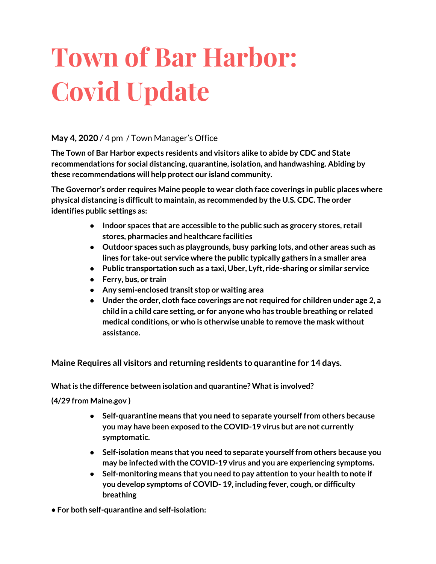# **Town of Bar Harbor: Covid Update**

#### **May 4, 2020** / 4 pm / Town Manager's Office

**The Town of Bar Harbor expects residents and visitors alike to abide by CDC and State recommendations for social distancing, quarantine, isolation, and handwashing. Abiding by these recommendations will help protect our island community.**

**The Governor's order requires Maine people to wear cloth face coverings in public places where physical distancing is difficultto maintain, as recommended by the U.S. CDC. The order identifies public settings as:**

- **● Indoor spaces that are accessible to the public such as grocery stores, retail stores, pharmacies and healthcare facilities**
- **● Outdoor spaces such as playgrounds, busy parking lots, and other areas such as lines for take-out service where the public typically gathers in a smaller area**
- **● Public transportation such as a taxi, Uber, Lyft, ride-sharing or similar service**
- **● Ferry, bus, or train**
- **● Any semi-enclosed transit stop or waiting area**
- **● Under the order, cloth face coverings are not required for children under age 2, a child in a child care setting, or for anyone who has trouble breathing or related medical conditions, or who is otherwise unable to remove the mask without assistance.**

**Maine Requires all visitors and returning residents to quarantine for 14 days.**

**Whatis the difference between isolation and quarantine? Whatis involved?**

**(4/29 from Maine.gov )**

- **● Self-quarantine means that you need to separate yourself from others because you may have been exposed to the COVID-19 virus but are not currently symptomatic.**
- **● Self-isolation means that you need to separate yourself from others because you may be infected with the COVID-19 virus and you are experiencing symptoms.**
- **● Self-monitoring means that you need to pay attention to your health to note if you develop symptoms of COVID- 19, including fever, cough, or difficulty breathing**

**• For both self-quarantine and self-isolation:**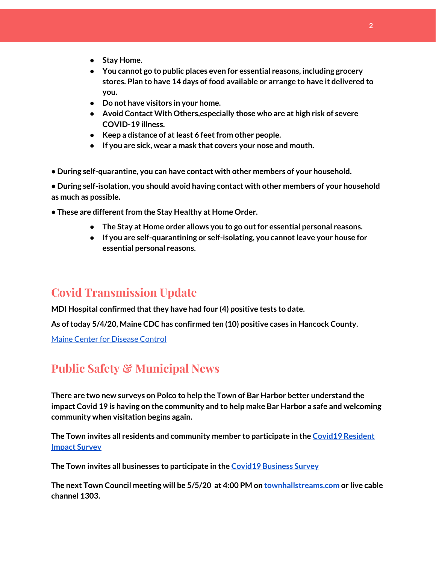**2**

- **● Stay Home.**
- **● You cannot go to public places even for essential reasons, including grocery stores. Plan to have 14 days of food available or arrange to have it delivered to you.**
- **● Do not have visitors in your home.**
- **● Avoid Contact With Others,especially those who are at high risk of severe COVID-19 illness.**
- **● Keep a distance of atleast 6 feetfrom other people.**
- **● If you are sick, wear a mask that covers your nose and mouth.**
- **• During self-quarantine, you can have contact with other members of your household.**

**• During self-isolation, you should avoid having contact with other members of your household as much as possible.**

- **• These are differentfrom the Stay Healthy at Home Order.**
	- **● The Stay at Home order allows you to go outfor essential personal reasons.**
	- **● If you are self-quarantining or self-isolating, you cannotleave your house for essential personal reasons.**

## **Covid Transmission Update**

**MDI Hospital confirmed thatthey have had four (4) positive tests to date.**

**As oftoday 5/4/20, Maine CDC has confirmed ten (10) positive cases in Hancock County.**

Maine Center for [Disease](https://www.maine.gov/dhhs/mecdc/infectious-disease/epi/airborne/coronavirus.shtml) Control

## **Public Safety & Municipal News**

**There are two new surveys on Polco to help the Town of Bar Harbor better understand the impact Covid 19 is having on the community and to help make Bar Harbor a safe and welcoming community when visitation begins again.**

**The Town invites all residents and community member to participate in the [C](https://polco.us/surveys/90178e75-6be4-45c6-819c-07052b97ab32?iid=9dedcb78-dd36-40ed-a81b-a88709e391cc)ovid19 [Resident](https://polco.us/surveys/90178e75-6be4-45c6-819c-07052b97ab32?iid=9dedcb78-dd36-40ed-a81b-a88709e391cc) [Impact](https://polco.us/surveys/90178e75-6be4-45c6-819c-07052b97ab32?iid=9dedcb78-dd36-40ed-a81b-a88709e391cc) Survey**

**The Town invites all businesses to participate in the Covid19 [Business](https://polco.us/surveys/96ab7f5d-a644-42b5-965d-f4a3d11c6ea7?iid=9dedcb78-dd36-40ed-a81b-a88709e391cc) Survey**

**The next Town Council meeting will be 5/5/20 at 4:00 PM on [townhallstreams.com](http://townhallstreams.com/) or live cable channel 1303.**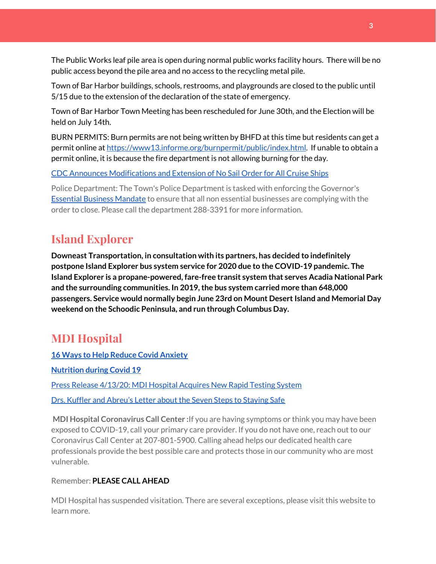The Public Works leaf pile area is open during normal public works facility hours. There will be no public access beyond the pile area and no access to the recycling metal pile.

Town of Bar Harbor buildings, schools, restrooms, and playgrounds are closed to the public until 5/15 due to the extension of the declaration of the state of emergency.

Town of Bar Harbor Town Meeting has been rescheduled for June 30th, and the Election will be held on July 14th.

BURN PERMITS: Burn permits are not being written by BHFD at this time but residents can get a permit online at [https://www13.informe.org/burnpermit/public/index.html.](https://www13.informe.org/burnpermit/public/index.html) If unable to obtain a permit online, it is because the fire department is not allowing burning for the day.

CDC Announces [Modifications](https://www.cdc.gov/media/releases/2020/s0409-modifications-extension-no-sail-ships.html) and Extension of No Sail Order for All Cruise Ships

Police Department: The Town's Police Department is tasked with enforcing the Governor's **Essential Business [Mandate](https://www.maine.gov/governor/mills/sites/maine.gov.governor.mills/files/inline-files/An%20Order%20Regarding%20Essential%20Businesses%20and%20Operations%20.pdf)** to ensure that all non essential businesses are complying with the order to close. Please call the department 288-3391 for more information.

## **Island Explorer**

**Downeast Transportation, in consultation with its partners, has decided to indefinitely postpone Island Explorer bus system service for 2020 due to the COVID-19 pandemic. The Island Explorer is a propane-powered, fare-free transit system that serves Acadia National Park and the surrounding communities. In 2019,the bus system carried more than 648,000 passengers. Service would normally begin June 23rd on Mount DesertIsland and Memorial Day weekend on the Schoodic Peninsula, and run through Columbus Day.**

## **MDI Hospital**

**16 Ways to Help Reduce Covid [Anxiety](https://www.mdihospital.org/news/16-ways-to-help-reduce-covid-19-anxiety/)**

**[Nutrition](https://www.mdihospital.org/news/16-ways-to-help-reduce-covid-19-anxiety/) during Covid 19**

Press Release [4/13/20:](https://www.mdihospital.org/news/mount-desert-island-hospital-acquires-cepheid-genexpert-rapid-point-of-care-testing-system-for-the-new-coronavirus-and-many-other-infectious-diseases/) MDI Hospital Acquires New Rapid Testing System

Drs. Kuffler and [Abreu's](https://www.mdislander.com/opinions/commentary-seven-steps-to-staying-safe) Letter about the Seven Steps to Staying Safe

**MDI Hospital Coronavirus Call Center :**If you are having symptoms or think you may have been exposed to COVID-19, call your primary care provider. If you do not have one, reach out to our Coronavirus Call Center at 207-801-5900. Calling ahead helps our dedicated health care professionals provide the best possible care and protects those in our community who are most vulnerable.

#### Remember: **PLEASE CALL AHEAD**

MDI Hospital has suspended visitation. There are several exceptions, please visit this website to learn more.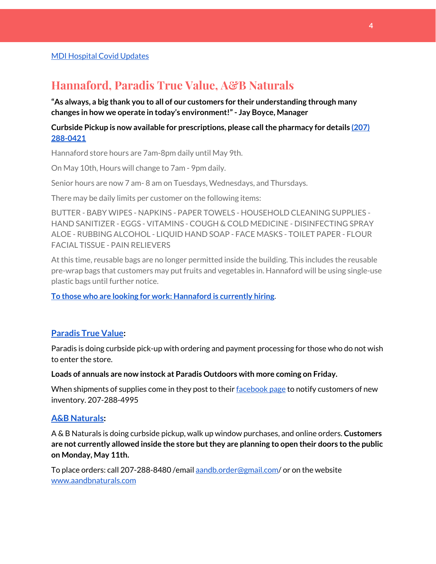#### **Hannaford, Paradis True Value, A&B Naturals**

**"As always, a big thank you to all of our customers for their understanding through many changes in how we operate in today's environment!"- Jay Boyce, Manager**

**Curbside Pickup is now available for prescriptions, please callthe pharmacy for details [\(207\)](https://www.google.com/search?client=firefox-b-1-d&q=hannaford+pharmacy+bar+harbor#) [288-0421](https://www.google.com/search?client=firefox-b-1-d&q=hannaford+pharmacy+bar+harbor#)**

Hannaford store hours are 7am-8pm daily until May 9th.

On May 10th, Hours will change to 7am - 9pm daily.

Senior hours are now 7 am- 8 am on Tuesdays, Wednesdays, and Thursdays.

There may be daily limits per customer on the following items:

BUTTER - BABY WIPES - NAPKINS - PAPER TOWELS - HOUSEHOLD CLEANING SUPPLIES - HAND SANITIZER - EGGS - VITAMINS - COUGH & COLD MEDICINE - DISINFECTING SPRAY ALOE - RUBBING ALCOHOL - LIQUID HAND SOAP - FACE MASKS - TOILET PAPER - FLOUR FACIAL TISSUE - PAIN RELIEVERS

At this time, reusable bags are no longer permitted inside the building. This includes the reusable pre-wrap bags that customers may put fruits and vegetables in. Hannaford will be using single-use plastic bags until further notice.

**To those who are looking for work: [Hannaford](https://www.hannaford.com/about-us/careers) is currently hiring.**

#### **[Paradis](https://www.facebook.com/ParadisTrueValue/) True Value:**

Paradis is doing curbside pick-up with ordering and payment processing for those who do not wish to enter the store.

**Loads of annuals are now instock at Paradis Outdoors with more coming on Friday.**

When shipments of supplies come in they post to their [facebook](https://www.facebook.com/ParadisTrueValue/) page to notify customers of new inventory. 207-288-4995

#### **A&B [Naturals:](http://aandbnaturals.com/)**

A & B Naturals is doing curbside pickup, walk up window purchases, and online orders. **Customers are not currently allowed inside the store butthey are planning to open their doors to the public on Monday, May 11th.**

To place orders: call 207-288-8480/email [aandb.order@gmail.com](mailto:aandb.order@gmail.com)/ or on the website [www.aandbnaturals.com](http://www.aandbnaturals.com/)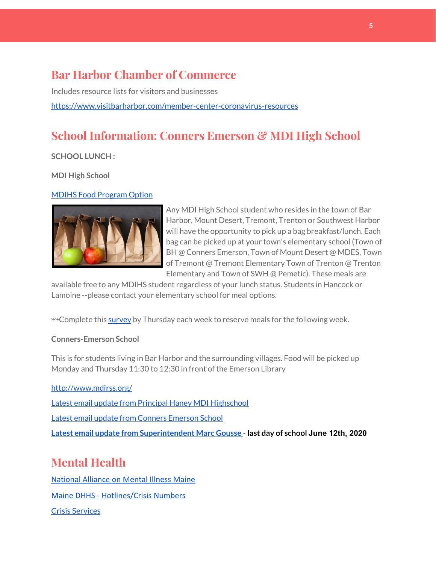## **Bar Harbor Chamber of Commerce**

Includes resource lists for visitors and businesses <https://www.visitbarharbor.com/member-center-coronavirus-resources>

## **School Information: Conners Emerson & MDI High School**

**SCHOOL LUNCH :**

**MDI High School**

#### MDIHS Food [Program](http://www.createsurvey.com/c/83380-7yUuuZ/) Option



Any MDI High School student who resides in the town of Bar Harbor, Mount Desert, Tremont, Trenton or Southwest Harbor will have the opportunity to pick up a bag breakfast/lunch. Each bag can be picked up at your town's elementary school (Town of BH @ Conners Emerson, Town of Mount Desert @ MDES, Town of Tremont @ Tremont Elementary Town of Trenton @ Trenton Elementary and Town of SWH @ Pemetic). These meals are

available free to any MDIHS student regardless of your lunch status. Students in Hancock or Lamoine --please contact your elementary school for meal options.

<sup>→→</sup>Complete this [survey](http://www.createsurvey.com/c/83380-7yUuuZ/) by Thursday each week to reserve meals for the following week.

#### **Conners-Emerson School**

This is for students living in Bar Harbor and the surrounding villages. Food will be picked up Monday and Thursday 11:30 to 12:30 in front of the Emerson Library

<http://www.mdirss.org/>

Latest email update from Principal Haney MDI [Highschool](https://docs.google.com/document/d/1OKDsYNtOgV0FI9xAcXwQvenOKLV0S2vBg1o5jtu5CrE/edit?usp=sharing)

Latest email update from Conners [Emerson](https://docs.google.com/document/d/1v3pgkG6Q-9S3gisuUIj4etPVDwgBKl4P00JBkvZr-kk/edit?usp=sharing) School

**Latest email update from [Superintendent](https://docs.google.com/document/d/1fzeCbc8gpTSKmUaDoQH1Avx5PVl-h0reFphXrT1eUNA/edit?usp=sharing) Marc Gousse - last day of school June 12th, 2020**

## **Mental Health**

[National Alliance on Mental Illness Maine](https://www.namimaine.org/) [Maine DHHS - Hotlines/Crisis Numbers](https://www.maine.gov/dhhs/hotlines.shtml) Crisis [Services](https://www.sweetser.org/programs-services/services-for-adults/crisis-services/)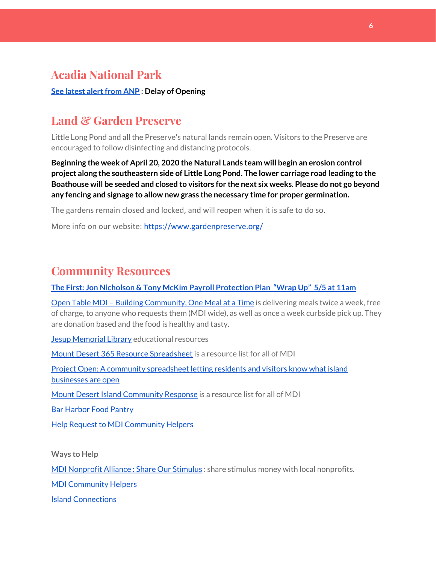#### **Acadia National Park**

**See latest [alertfrom](https://www.nps.gov/acad/learn/news/delaying-start-up-operations.htm) ANP : Delay of Opening**

## **Land & Garden Preserve**

Little Long Pond and all the Preserve's natural lands remain open. Visitors to the Preserve are encouraged to follow disinfecting and distancing protocols.

**Beginning the week of April 20, 2020 the Natural Lands team will begin an erosion control project along the southeastern side of Little Long Pond. The lower carriage road leading to the Boathouse will be seeded and closed to visitors for the next six weeks. Please do not go beyond any fencing and signage to allow new grass the necessary time for proper germination.**

The gardens remain closed and locked, and will reopen when it is safe to do so.

More info on our website: <https://www.gardenpreserve.org/>

## **Community Resources**

**The First: Jon Nicholson & Tony McKim Payroll [Protection](https://bit.ly/2WjDrd0) Plan "Wrap Up" 5/5 at 11am**

Open Table MDI – Building [Community,](https://www.opentablemdi.org/) One Meal at a Time is delivering meals twice a week, free of charge, to anyone who requests them (MDI wide), as well as once a week curbside pick up. They are donation based and the food is healthy and tasty.

Jesup [Memorial](https://jesuplibrary.org/) Library educational resources

Mount Desert 365 Resource [Spreadsheet](https://docs.google.com/spreadsheets/d/1okAx6HSsgXZY9CGH07Dzi6rqe7a6m4dLCPKot2Li7Ek/edit?usp=sharing) is a resource list for all of MDI

Project Open: A community [spreadsheet](https://docs.google.com/spreadsheets/d/1dBicBiBXGzzWEFd9oqL7EBDbFWjDCPl6SSMea_Kt4pc/htmlview#) letting residents and visitors know what island [businesses](https://docs.google.com/spreadsheets/d/1dBicBiBXGzzWEFd9oqL7EBDbFWjDCPl6SSMea_Kt4pc/htmlview#) are open

Mount Desert Island [Community](https://www.mdicr.org/) Response is a resource list for all of MDI

Bar [Harbor](https://www.barharborfoodpantry.org/) Food Pantry

Help Request to MDI [Community](https://docs.google.com/forms/d/e/1FAIpQLSeZfu0tCcthHc9oL7tPomVRdniYiE7nbT_kkK9iCSRgqDhOvQ/viewform) Helpers

**Ways to Help**

MDI [Nonprofit](https://sites.google.com/mdina.org/public/sos-mdi?authuser=0) Alliance : Share Our Stimulus : share stimulus money with local nonprofits.

MDI [Community](https://docs.google.com/forms/d/e/1FAIpQLSe_CJUFdVvwJkmymWRqUeK8bx3m7n4uSOuUPYHqXSAyH2DBoQ/viewform?fbclid=IwAR25hjnWGhnMP0lOWMcBPRBumhtQCJGZO4hlk-T-VjNGZljL1kVX5pWrL6U) Helpers

Island [Connections](http://islconnections.org/contact-us/)